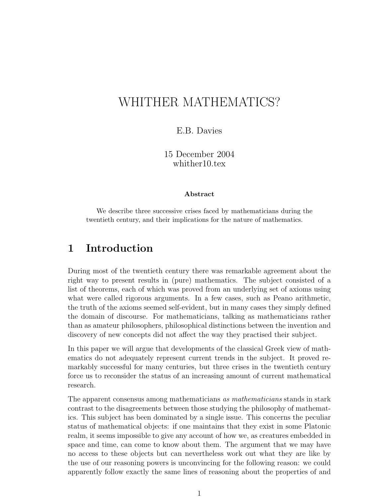# WHITHER MATHEMATICS?

#### E.B. Davies

15 December 2004 whither10.tex

#### Abstract

We describe three successive crises faced by mathematicians during the twentieth century, and their implications for the nature of mathematics.

#### 1 Introduction

During most of the twentieth century there was remarkable agreement about the right way to present results in (pure) mathematics. The subject consisted of a list of theorems, each of which was proved from an underlying set of axioms using what were called rigorous arguments. In a few cases, such as Peano arithmetic, the truth of the axioms seemed self-evident, but in many cases they simply defined the domain of discourse. For mathematicians, talking as mathematicians rather than as amateur philosophers, philosophical distinctions between the invention and discovery of new concepts did not affect the way they practised their subject.

In this paper we will argue that developments of the classical Greek view of mathematics do not adequately represent current trends in the subject. It proved remarkably successful for many centuries, but three crises in the twentieth century force us to reconsider the status of an increasing amount of current mathematical research.

The apparent consensus among mathematicians as mathematicians stands in stark contrast to the disagreements between those studying the philosophy of mathematics. This subject has been dominated by a single issue. This concerns the peculiar status of mathematical objects: if one maintains that they exist in some Platonic realm, it seems impossible to give any account of how we, as creatures embedded in space and time, can come to know about them. The argument that we may have no access to these objects but can nevertheless work out what they are like by the use of our reasoning powers is unconvincing for the following reason: we could apparently follow exactly the same lines of reasoning about the properties of and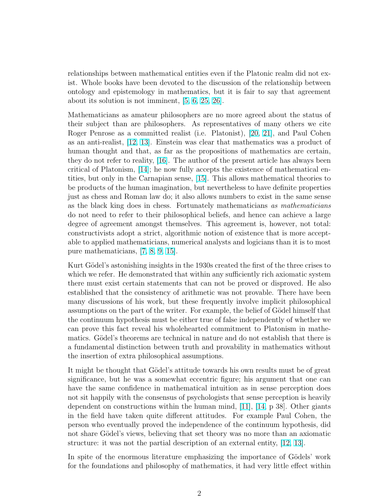relationships between mathematical entities even if the Platonic realm did not exist. Whole books have been devoted to the discussion of the relationship between ontology and epistemology in mathematics, but it is fair to say that agreement about its solution is not imminent, [\[5,](#page-11-0) [6,](#page-11-0) [25,](#page-12-0) [26\]](#page-12-0).

Mathematicians as amateur philosophers are no more agreed about the status of their subject than are philosophers. As representatives of many others we cite Roger Penrose as a committed realist (i.e. Platonist), [\[20,](#page-12-0) [21\]](#page-12-0), and Paul Cohen as an anti-realist, [\[12,](#page-12-0) [13\]](#page-12-0). Einstein was clear that mathematics was a product of human thought and that, as far as the propositions of mathematics are certain, they do not refer to reality, [\[16\]](#page-12-0). The author of the present article has always been critical of Platonism, [\[14\]](#page-12-0); he now fully accepts the existence of mathematical entities, but only in the Carnapian sense, [\[15\]](#page-12-0). This allows mathematical theories to be products of the human imagination, but nevertheless to have definite properties just as chess and Roman law do; it also allows numbers to exist in the same sense as the black king does in chess. Fortunately mathematicians as mathematicians do not need to refer to their philosophical beliefs, and hence can achieve a large degree of agreement amongst themselves. This agreement is, however, not total: constructivists adopt a strict, algorithmic notion of existence that is more acceptable to applied mathematicians, numerical analysts and logicians than it is to most pure mathematicians, [\[7,](#page-11-0) [8,](#page-11-0) [9,](#page-12-0) [15\]](#page-12-0).

Kurt Gödel's astonishing insights in the 1930s created the first of the three crises to which we refer. He demonstrated that within any sufficiently rich axiomatic system there must exist certain statements that can not be proved or disproved. He also established that the consistency of arithmetic was not provable. There have been many discussions of his work, but these frequently involve implicit philosophical assumptions on the part of the writer. For example, the belief of Gödel himself that the continuum hypothesis must be either true of false independently of whether we can prove this fact reveal his wholehearted commitment to Platonism in mathematics. Gödel's theorems are technical in nature and do not establish that there is a fundamental distinction between truth and provability in mathematics without the insertion of extra philosophical assumptions.

It might be thought that Gödel's attitude towards his own results must be of great significance, but he was a somewhat eccentric figure; his argument that one can have the same confidence in mathematical intuition as in sense perception does not sit happily with the consensus of psychologists that sense perception is heavily dependent on constructions within the human mind, [\[11\]](#page-12-0), [\[14,](#page-12-0) p 38]. Other giants in the field have taken quite different attitudes. For example Paul Cohen, the person who eventually proved the independence of the continuum hypothesis, did not share Gödel's views, believing that set theory was no more than an axiomatic structure: it was not the partial description of an external entity, [\[12,](#page-12-0) [13\]](#page-12-0).

In spite of the enormous literature emphasizing the importance of Gödels' work for the foundations and philosophy of mathematics, it had very little effect within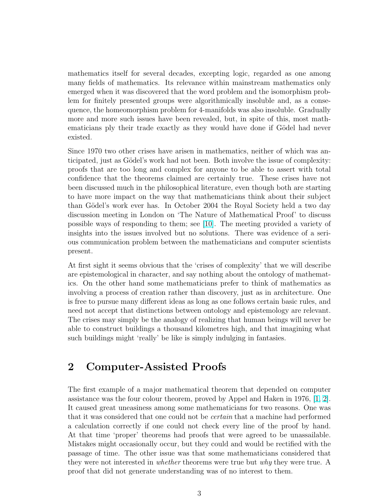mathematics itself for several decades, excepting logic, regarded as one among many fields of mathematics. Its relevance within mainstream mathematics only emerged when it was discovered that the word problem and the isomorphism problem for finitely presented groups were algorithmically insoluble and, as a consequence, the homeomorphism problem for 4-manifolds was also insoluble. Gradually more and more such issues have been revealed, but, in spite of this, most mathematicians ply their trade exactly as they would have done if Gödel had never existed.

Since 1970 two other crises have arisen in mathematics, neither of which was anticipated, just as Gödel's work had not been. Both involve the issue of complexity: proofs that are too long and complex for anyone to be able to assert with total confidence that the theorems claimed are certainly true. These crises have not been discussed much in the philosophical literature, even though both are starting to have more impact on the way that mathematicians think about their subject than Gödel's work ever has. In October 2004 the Royal Society held a two day discussion meeting in London on 'The Nature of Mathematical Proof' to discuss possible ways of responding to them; see [\[10\]](#page-12-0). The meeting provided a variety of insights into the issues involved but no solutions. There was evidence of a serious communication problem between the mathematicians and computer scientists present.

At first sight it seems obvious that the 'crises of complexity' that we will describe are epistemological in character, and say nothing about the ontology of mathematics. On the other hand some mathematicians prefer to think of mathematics as involving a process of creation rather than discovery, just as in architecture. One is free to pursue many different ideas as long as one follows certain basic rules, and need not accept that distinctions between ontology and epistemology are relevant. The crises may simply be the analogy of realizing that human beings will never be able to construct buildings a thousand kilometres high, and that imagining what such buildings might 'really' be like is simply indulging in fantasies.

#### 2 Computer-Assisted Proofs

The first example of a major mathematical theorem that depended on computer assistance was the four colour theorem, proved by Appel and Haken in 1976, [\[1,](#page-11-0) [2\]](#page-11-0). It caused great uneasiness among some mathematicians for two reasons. One was that it was considered that one could not be *certain* that a machine had performed a calculation correctly if one could not check every line of the proof by hand. At that time 'proper' theorems had proofs that were agreed to be unassailable. Mistakes might occasionally occur, but they could and would be rectified with the passage of time. The other issue was that some mathematicians considered that they were not interested in *whether* theorems were true but *why* they were true. A proof that did not generate understanding was of no interest to them.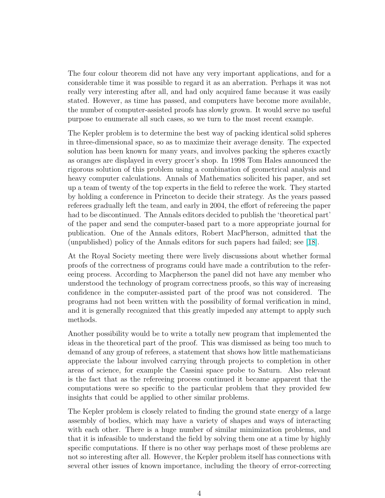The four colour theorem did not have any very important applications, and for a considerable time it was possible to regard it as an aberration. Perhaps it was not really very interesting after all, and had only acquired fame because it was easily stated. However, as time has passed, and computers have become more available, the number of computer-assisted proofs has slowly grown. It would serve no useful purpose to enumerate all such cases, so we turn to the most recent example.

The Kepler problem is to determine the best way of packing identical solid spheres in three-dimensional space, so as to maximize their average density. The expected solution has been known for many years, and involves packing the spheres exactly as oranges are displayed in every grocer's shop. In 1998 Tom Hales announced the rigorous solution of this problem using a combination of geometrical analysis and heavy computer calculations. Annals of Mathematics solicited his paper, and set up a team of twenty of the top experts in the field to referee the work. They started by holding a conference in Princeton to decide their strategy. As the years passed referees gradually left the team, and early in 2004, the effort of refereeing the paper had to be discontinued. The Annals editors decided to publish the 'theoretical part' of the paper and send the computer-based part to a more appropriate journal for publication. One of the Annals editors, Robert MacPherson, admitted that the (unpublished) policy of the Annals editors for such papers had failed; see [\[18\]](#page-12-0).

At the Royal Society meeting there were lively discussions about whether formal proofs of the correctness of programs could have made a contribution to the refereeing process. According to Macpherson the panel did not have any member who understood the technology of program correctness proofs, so this way of increasing confidence in the computer-assisted part of the proof was not considered. The programs had not been written with the possibility of formal verification in mind, and it is generally recognized that this greatly impeded any attempt to apply such methods.

Another possibility would be to write a totally new program that implemented the ideas in the theoretical part of the proof. This was dismissed as being too much to demand of any group of referees, a statement that shows how little mathematicians appreciate the labour involved carrying through projects to completion in other areas of science, for example the Cassini space probe to Saturn. Also relevant is the fact that as the refereeing process continued it became apparent that the computations were so specific to the particular problem that they provided few insights that could be applied to other similar problems.

The Kepler problem is closely related to finding the ground state energy of a large assembly of bodies, which may have a variety of shapes and ways of interacting with each other. There is a huge number of similar minimization problems, and that it is infeasible to understand the field by solving them one at a time by highly specific computations. If there is no other way perhaps most of these problems are not so interesting after all. However, the Kepler problem itself has connections with several other issues of known importance, including the theory of error-correcting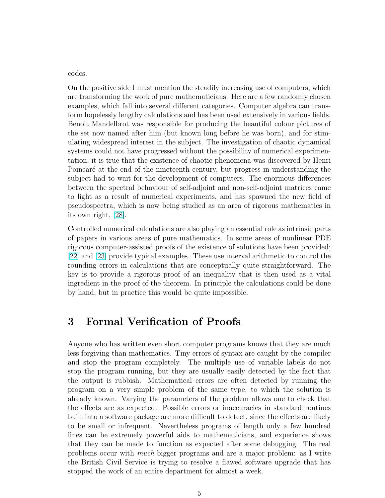codes.

On the positive side I must mention the steadily increasing use of computers, which are transforming the work of pure mathematicians. Here are a few randomly chosen examples, which fall into several different categories. Computer algebra can transform hopelessly lengthy calculations and has been used extensively in various fields. Benoit Mandelbrot was responsible for producing the beautiful colour pictures of the set now named after him (but known long before he was born), and for stimulating widespread interest in the subject. The investigation of chaotic dynamical systems could not have progressed without the possibility of numerical experimentation; it is true that the existence of chaotic phenomena was discovered by Henri Poincaré at the end of the nineteenth century, but progress in understanding the subject had to wait for the development of computers. The enormous differences between the spectral behaviour of self-adjoint and non-self-adjoint matrices came to light as a result of numerical experiments, and has spawned the new field of pseudospectra, which is now being studied as an area of rigorous mathematics in its own right, [\[28\]](#page-13-0).

Controlled numerical calculations are also playing an essential role as intrinsic parts of papers in various areas of pure mathematics. In some areas of nonlinear PDE rigorous computer-assisted proofs of the existence of solutions have been provided; [\[22\]](#page-12-0) and [\[23\]](#page-12-0) provide typical examples. These use interval arithmetic to control the rounding errors in calculations that are conceptually quite straightforward. The key is to provide a rigorous proof of an inequality that is then used as a vital ingredient in the proof of the theorem. In principle the calculations could be done by hand, but in practice this would be quite impossible.

#### 3 Formal Verification of Proofs

Anyone who has written even short computer programs knows that they are much less forgiving than mathematics. Tiny errors of syntax are caught by the compiler and stop the program completely. The multiple use of variable labels do not stop the program running, but they are usually easily detected by the fact that the output is rubbish. Mathematical errors are often detected by running the program on a very simple problem of the same type, to which the solution is already known. Varying the parameters of the problem allows one to check that the effects are as expected. Possible errors or inaccuracies in standard routines built into a software package are more difficult to detect, since the effects are likely to be small or infrequent. Nevertheless programs of length only a few hundred lines can be extremely powerful aids to mathematicians, and experience shows that they can be made to function as expected after some debugging. The real problems occur with much bigger programs and are a major problem: as I write the British Civil Service is trying to resolve a flawed software upgrade that has stopped the work of an entire department for almost a week.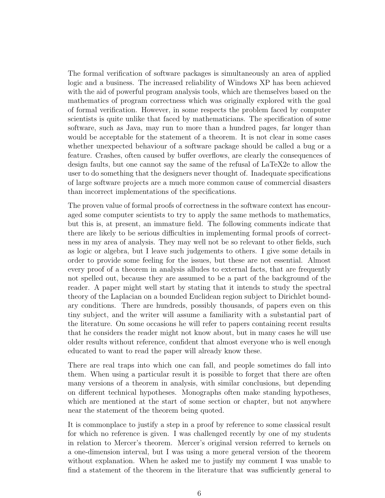The formal verification of software packages is simultaneously an area of applied logic and a business. The increased reliability of Windows XP has been achieved with the aid of powerful program analysis tools, which are themselves based on the mathematics of program correctness which was originally explored with the goal of formal verification. However, in some respects the problem faced by computer scientists is quite unlike that faced by mathematicians. The specification of some software, such as Java, may run to more than a hundred pages, far longer than would be acceptable for the statement of a theorem. It is not clear in some cases whether unexpected behaviour of a software package should be called a bug or a feature. Crashes, often caused by buffer overflows, are clearly the consequences of design faults, but one cannot say the same of the refusal of LaTeX2e to allow the user to do something that the designers never thought of. Inadequate specifications of large software projects are a much more common cause of commercial disasters than incorrect implementations of the specifications.

The proven value of formal proofs of correctness in the software context has encouraged some computer scientists to try to apply the same methods to mathematics, but this is, at present, an immature field. The following comments indicate that there are likely to be serious difficulties in implementing formal proofs of correctness in my area of analysis. They may well not be so relevant to other fields, such as logic or algebra, but I leave such judgements to others. I give some details in order to provide some feeling for the issues, but these are not essential. Almost every proof of a theorem in analysis alludes to external facts, that are frequently not spelled out, because they are assumed to be a part of the background of the reader. A paper might well start by stating that it intends to study the spectral theory of the Laplacian on a bounded Euclidean region subject to Dirichlet boundary conditions. There are hundreds, possibly thousands, of papers even on this tiny subject, and the writer will assume a familiarity with a substantial part of the literature. On some occasions he will refer to papers containing recent results that he considers the reader might not know about, but in many cases he will use older results without reference, confident that almost everyone who is well enough educated to want to read the paper will already know these.

There are real traps into which one can fall, and people sometimes do fall into them. When using a particular result it is possible to forget that there are often many versions of a theorem in analysis, with similar conclusions, but depending on different technical hypotheses. Monographs often make standing hypotheses, which are mentioned at the start of some section or chapter, but not anywhere near the statement of the theorem being quoted.

It is commonplace to justify a step in a proof by reference to some classical result for which no reference is given. I was challenged recently by one of my students in relation to Mercer's theorem. Mercer's original version referred to kernels on a one-dimension interval, but I was using a more general version of the theorem without explanation. When he asked me to justify my comment I was unable to find a statement of the theorem in the literature that was sufficiently general to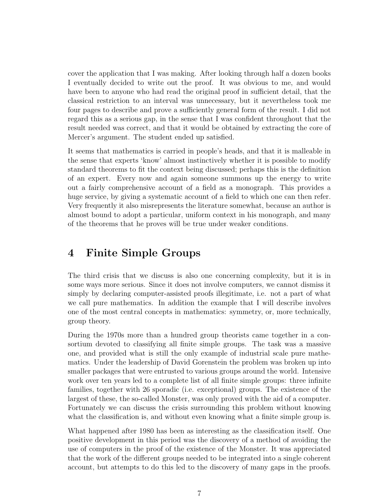cover the application that I was making. After looking through half a dozen books I eventually decided to write out the proof. It was obvious to me, and would have been to anyone who had read the original proof in sufficient detail, that the classical restriction to an interval was unnecessary, but it nevertheless took me four pages to describe and prove a sufficiently general form of the result. I did not regard this as a serious gap, in the sense that I was confident throughout that the result needed was correct, and that it would be obtained by extracting the core of Mercer's argument. The student ended up satisfied.

It seems that mathematics is carried in people's heads, and that it is malleable in the sense that experts 'know' almost instinctively whether it is possible to modify standard theorems to fit the context being discussed; perhaps this is the definition of an expert. Every now and again someone summons up the energy to write out a fairly comprehensive account of a field as a monograph. This provides a huge service, by giving a systematic account of a field to which one can then refer. Very frequently it also misrepresents the literature somewhat, because an author is almost bound to adopt a particular, uniform context in his monograph, and many of the theorems that he proves will be true under weaker conditions.

## 4 Finite Simple Groups

The third crisis that we discuss is also one concerning complexity, but it is in some ways more serious. Since it does not involve computers, we cannot dismiss it simply by declaring computer-assisted proofs illegitimate, i.e. not a part of what we call pure mathematics. In addition the example that I will describe involves one of the most central concepts in mathematics: symmetry, or, more technically, group theory.

During the 1970s more than a hundred group theorists came together in a consortium devoted to classifying all finite simple groups. The task was a massive one, and provided what is still the only example of industrial scale pure mathematics. Under the leadership of David Gorenstein the problem was broken up into smaller packages that were entrusted to various groups around the world. Intensive work over ten years led to a complete list of all finite simple groups: three infinite families, together with 26 sporadic (i.e. exceptional) groups. The existence of the largest of these, the so-called Monster, was only proved with the aid of a computer. Fortunately we can discuss the crisis surrounding this problem without knowing what the classification is, and without even knowing what a finite simple group is.

What happened after 1980 has been as interesting as the classification itself. One positive development in this period was the discovery of a method of avoiding the use of computers in the proof of the existence of the Monster. It was appreciated that the work of the different groups needed to be integrated into a single coherent account, but attempts to do this led to the discovery of many gaps in the proofs.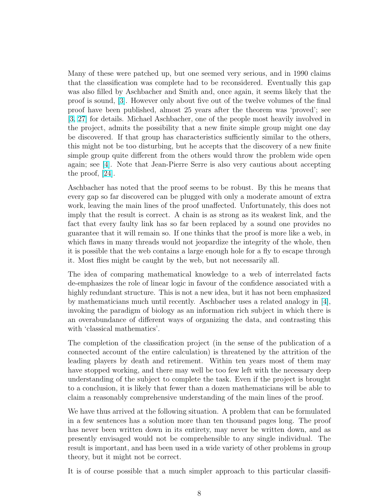Many of these were patched up, but one seemed very serious, and in 1990 claims that the classification was complete had to be reconsidered. Eventually this gap was also filled by Aschbacher and Smith and, once again, it seems likely that the proof is sound, [\[3\]](#page-11-0). However only about five out of the twelve volumes of the final proof have been published, almost 25 years after the theorem was 'proved'; see [\[3,](#page-11-0) [27\]](#page-13-0) for details. Michael Aschbacher, one of the people most heavily involved in the project, admits the possibility that a new finite simple group might one day be discovered. If that group has characteristics sufficiently similar to the others, this might not be too disturbing, but he accepts that the discovery of a new finite simple group quite different from the others would throw the problem wide open again; see [\[4\]](#page-11-0). Note that Jean-Pierre Serre is also very cautious about accepting the proof, [\[24\]](#page-12-0).

Aschbacher has noted that the proof seems to be robust. By this he means that every gap so far discovered can be plugged with only a moderate amount of extra work, leaving the main lines of the proof unaffected. Unfortunately, this does not imply that the result is correct. A chain is as strong as its weakest link, and the fact that every faulty link has so far been replaced by a sound one provides no guarantee that it will remain so. If one thinks that the proof is more like a web, in which flaws in many threads would not jeopardize the integrity of the whole, then it is possible that the web contains a large enough hole for a fly to escape through it. Most flies might be caught by the web, but not necessarily all.

The idea of comparing mathematical knowledge to a web of interrelated facts de-emphasizes the role of linear logic in favour of the confidence associated with a highly redundant structure. This is not a new idea, but it has not been emphasized by mathematicians much until recently. Aschbacher uses a related analogy in [\[4\]](#page-11-0), invoking the paradigm of biology as an information rich subject in which there is an overabundance of different ways of organizing the data, and contrasting this with 'classical mathematics'.

The completion of the classification project (in the sense of the publication of a connected account of the entire calculation) is threatened by the attrition of the leading players by death and retirement. Within ten years most of them may have stopped working, and there may well be too few left with the necessary deep understanding of the subject to complete the task. Even if the project is brought to a conclusion, it is likely that fewer than a dozen mathematicians will be able to claim a reasonably comprehensive understanding of the main lines of the proof.

We have thus arrived at the following situation. A problem that can be formulated in a few sentences has a solution more than ten thousand pages long. The proof has never been written down in its entirety, may never be written down, and as presently envisaged would not be comprehensible to any single individual. The result is important, and has been used in a wide variety of other problems in group theory, but it might not be correct.

It is of course possible that a much simpler approach to this particular classifi-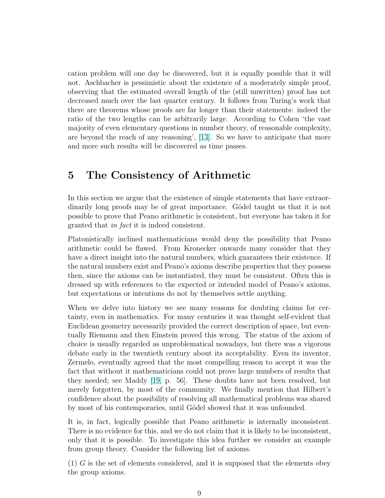cation problem will one day be discovered, but it is equally possible that it will not. Aschbacher is pessimistic about the existence of a moderately simple proof, observing that the estimated overall length of the (still unwritten) proof has not decreased much over the last quarter century. It follows from Turing's work that there are theorems whose proofs are far longer than their statements: indeed the ratio of the two lengths can be arbitrarily large. According to Cohen 'the vast majority of even elementary questions in number theory, of reasonable complexity, are beyond the reach of any reasoning', [\[13\]](#page-12-0). So we have to anticipate that more and more such results will be discovered as time passes.

## 5 The Consistency of Arithmetic

In this section we argue that the existence of simple statements that have extraordinarily long proofs may be of great importance. Gödel taught us that it is not possible to prove that Peano arithmetic is consistent, but everyone has taken it for granted that in fact it is indeed consistent.

Platonistically inclined mathematicians would deny the possibility that Peano arithmetic could be flawed. From Kronecker onwards many consider that they have a direct insight into the natural numbers, which guarantees their existence. If the natural numbers exist and Peano's axioms describe properties that they possess then, since the axioms can be instantiated, they must be consistent. Often this is dressed up with references to the expected or intended model of Peano's axioms, but expectations or intentions do not by themselves settle anything.

When we delve into history we see many reasons for doubting claims for certainty, even in mathematics. For many centuries it was thought self-evident that Euclidean geometry necessarily provided the correct description of space, but eventually Riemann and then Einstein proved this wrong. The status of the axiom of choice is usually regarded as unproblematical nowadays, but there was a vigorous debate early in the twentieth century about its acceptability. Even its inventor, Zermelo, eventually agreed that the most compelling reason to accept it was the fact that without it mathematicians could not prove large numbers of results that they needed; see Maddy [\[19,](#page-12-0) p. 56]. These doubts have not been resolved, but merely forgotten, by most of the community. We finally mention that Hilbert's confidence about the possibility of resolving all mathematical problems was shared by most of his contemporaries, until Gödel showed that it was unfounded.

It is, in fact, logically possible that Peano arithmetic is internally inconsistent. There is no evidence for this, and we do not claim that it is likely to be inconsistent, only that it is possible. To investigate this idea further we consider an example from group theory. Consider the following list of axioms.

 $(1)$  G is the set of elements considered, and it is supposed that the elements obey the group axioms.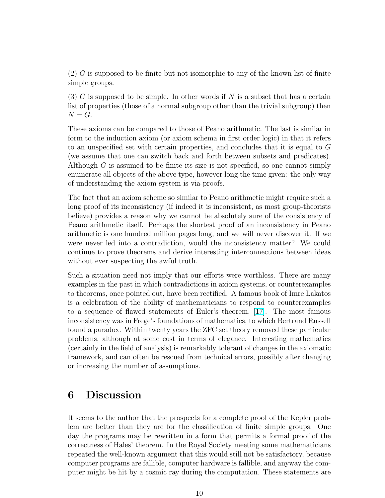$(2)$  G is supposed to be finite but not isomorphic to any of the known list of finite simple groups.

(3) G is supposed to be simple. In other words if N is a subset that has a certain list of properties (those of a normal subgroup other than the trivial subgroup) then  $N = G$ .

These axioms can be compared to those of Peano arithmetic. The last is similar in form to the induction axiom (or axiom schema in first order logic) in that it refers to an unspecified set with certain properties, and concludes that it is equal to G (we assume that one can switch back and forth between subsets and predicates). Although  $G$  is assumed to be finite its size is not specified, so one cannot simply enumerate all objects of the above type, however long the time given: the only way of understanding the axiom system is via proofs.

The fact that an axiom scheme so similar to Peano arithmetic might require such a long proof of its inconsistency (if indeed it is inconsistent, as most group-theorists believe) provides a reason why we cannot be absolutely sure of the consistency of Peano arithmetic itself. Perhaps the shortest proof of an inconsistency in Peano arithmetic is one hundred million pages long, and we will never discover it. If we were never led into a contradiction, would the inconsistency matter? We could continue to prove theorems and derive interesting interconnections between ideas without ever suspecting the awful truth.

Such a situation need not imply that our efforts were worthless. There are many examples in the past in which contradictions in axiom systems, or counterexamples to theorems, once pointed out, have been rectified. A famous book of Imre Lakatos is a celebration of the ability of mathematicians to respond to counterexamples to a sequence of flawed statements of Euler's theorem, [\[17\]](#page-12-0). The most famous inconsistency was in Frege's foundations of mathematics, to which Bertrand Russell found a paradox. Within twenty years the ZFC set theory removed these particular problems, although at some cost in terms of elegance. Interesting mathematics (certainly in the field of analysis) is remarkably tolerant of changes in the axiomatic framework, and can often be rescued from technical errors, possibly after changing or increasing the number of assumptions.

#### 6 Discussion

It seems to the author that the prospects for a complete proof of the Kepler problem are better than they are for the classification of finite simple groups. One day the programs may be rewritten in a form that permits a formal proof of the correctness of Hales' theorem. In the Royal Society meeting some mathematicians repeated the well-known argument that this would still not be satisfactory, because computer programs are fallible, computer hardware is fallible, and anyway the computer might be hit by a cosmic ray during the computation. These statements are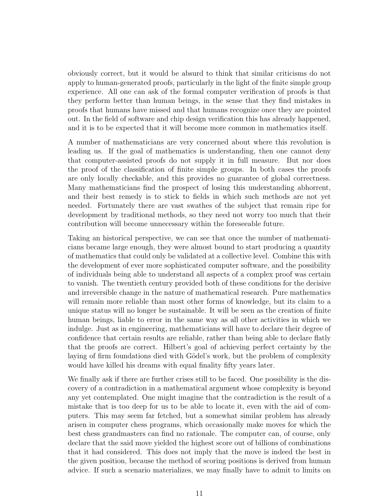obviously correct, but it would be absurd to think that similar criticisms do not apply to human-generated proofs, particularly in the light of the finite simple group experience. All one can ask of the formal computer verification of proofs is that they perform better than human beings, in the sense that they find mistakes in proofs that humans have missed and that humans recognize once they are pointed out. In the field of software and chip design verification this has already happened, and it is to be expected that it will become more common in mathematics itself.

A number of mathematicians are very concerned about where this revolution is leading us. If the goal of mathematics is understanding, then one cannot deny that computer-assisted proofs do not supply it in full measure. But nor does the proof of the classification of finite simple groups. In both cases the proofs are only locally checkable, and this provides no guarantee of global correctness. Many mathematicians find the prospect of losing this understanding abhorrent, and their best remedy is to stick to fields in which such methods are not yet needed. Fortunately there are vast swathes of the subject that remain ripe for development by traditional methods, so they need not worry too much that their contribution will become unnecessary within the foreseeable future.

Taking an historical perspective, we can see that once the number of mathematicians became large enough, they were almost bound to start producing a quantity of mathematics that could only be validated at a collective level. Combine this with the development of ever more sophisticated computer software, and the possibility of individuals being able to understand all aspects of a complex proof was certain to vanish. The twentieth century provided both of these conditions for the decisive and irreversible change in the nature of mathematical research. Pure mathematics will remain more reliable than most other forms of knowledge, but its claim to a unique status will no longer be sustainable. It will be seen as the creation of finite human beings, liable to error in the same way as all other activities in which we indulge. Just as in engineering, mathematicians will have to declare their degree of confidence that certain results are reliable, rather than being able to declare flatly that the proofs are correct. Hilbert's goal of achieving perfect certainty by the laying of firm foundations died with Gödel's work, but the problem of complexity would have killed his dreams with equal finality fifty years later.

We finally ask if there are further crises still to be faced. One possibility is the discovery of a contradiction in a mathematical argument whose complexity is beyond any yet contemplated. One might imagine that the contradiction is the result of a mistake that is too deep for us to be able to locate it, even with the aid of computers. This may seem far fetched, but a somewhat similar problem has already arisen in computer chess programs, which occasionally make moves for which the best chess grandmasters can find no rationale. The computer can, of course, only declare that the said move yielded the highest score out of billions of combinations that it had considered. This does not imply that the move is indeed the best in the given position, because the method of scoring positions is derived from human advice. If such a scenario materializes, we may finally have to admit to limits on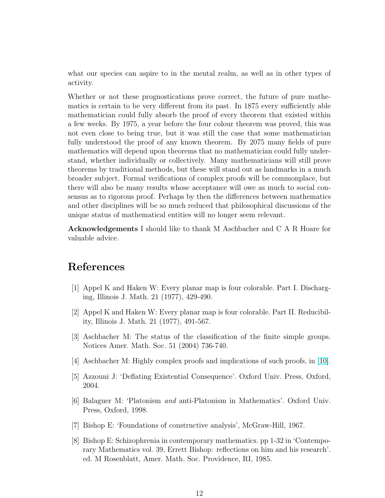<span id="page-11-0"></span>what our species can aspire to in the mental realm, as well as in other types of activity.

Whether or not these prognostications prove correct, the future of pure mathematics is certain to be very different from its past. In 1875 every sufficiently able mathematician could fully absorb the proof of every theorem that existed within a few weeks. By 1975, a year before the four colour theorem was proved, this was not even close to being true, but it was still the case that some mathematician fully understood the proof of any known theorem. By 2075 many fields of pure mathematics will depend upon theorems that no mathematician could fully understand, whether individually or collectively. Many mathematicians will still prove theorems by traditional methods, but these will stand out as landmarks in a much broader subject. Formal verifications of complex proofs will be commonplace, but there will also be many results whose acceptance will owe as much to social consensus as to rigorous proof. Perhaps by then the differences between mathematics and other disciplines will be so much reduced that philosophical discussions of the unique status of mathematical entities will no longer seem relevant.

Acknowledgements I should like to thank M Aschbacher and C A R Hoare for valuable advice.

### References

- [1] Appel K and Haken W: Every planar map is four colorable. Part I. Discharging, Illinois J. Math. 21 (1977), 429-490.
- [2] Appel K and Haken W: Every planar map is four colorable. Part II. Reducibility, Illinois J. Math. 21 (1977), 491-567.
- [3] Aschbacher M: The status of the classification of the finite simple groups. Notices Amer. Math. Soc. 51 (2004) 736-740.
- [4] Aschbacher M: Highly complex proofs and implications of such proofs, in [\[10\]](#page-12-0).
- [5] Azzouni J: 'Deflating Existential Consequence'. Oxford Univ. Press, Oxford, 2004.
- [6] Balaguer M: 'Platonism and anti-Platonism in Mathematics'. Oxford Univ. Press, Oxford, 1998.
- [7] Bishop E: 'Foundations of constructive analysis', McGraw-Hill, 1967.
- [8] Bishop E: Schizophrenia in contemporary mathematics. pp 1-32 in 'Contemporary Mathematics vol. 39, Errett Bishop: reflections on him and his research'. ed. M Rosenblatt, Amer. Math. Soc. Providence, RI, 1985.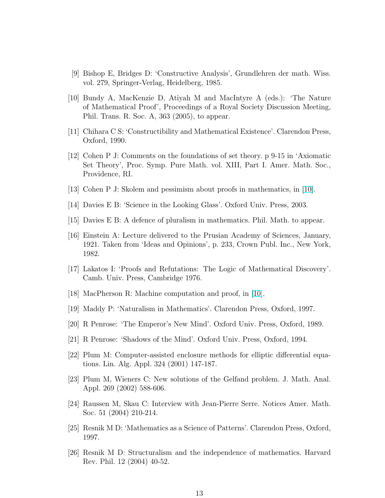- <span id="page-12-0"></span>[9] Bishop E, Bridges D: 'Constructive Analysis', Grundlehren der math. Wiss. vol. 279, Springer-Verlag, Heidelberg, 1985.
- [10] Bundy A, MacKenzie D, Atiyah M and MacIntyre A (eds.): 'The Nature of Mathematical Proof', Proceedings of a Royal Society Discussion Meeting, Phil. Trans. R. Soc. A, 363 (2005), to appear.
- [11] Chihara C S: 'Constructibility and Mathematical Existence'. Clarendon Press, Oxford, 1990.
- [12] Cohen P J: Comments on the foundations of set theory. p 9-15 in 'Axiomatic Set Theory', Proc. Symp. Pure Math. vol. XIII, Part I. Amer. Math. Soc., Providence, RI.
- [13] Cohen P J: Skolem and pessimism about proofs in mathematics, in [10].
- [14] Davies E B: 'Science in the Looking Glass'. Oxford Univ. Press, 2003.
- [15] Davies E B: A defence of pluralism in mathematics. Phil. Math. to appear.
- [16] Einstein A: Lecture delivered to the Prusian Academy of Sciences, January, 1921. Taken from 'Ideas and Opinions', p. 233, Crown Publ. Inc., New York, 1982.
- [17] Lakatos I: 'Proofs and Refutations: The Logic of Mathematical Discovery'. Camb. Univ. Press, Cambridge 1976.
- [18] MacPherson R: Machine computation and proof, in [10].
- [19] Maddy P: 'Naturalism in Mathematics'. Clarendon Press, Oxford, 1997.
- [20] R Penrose: 'The Emperor's New Mind'. Oxford Univ. Press, Oxford, 1989.
- [21] R Penrose: 'Shadows of the Mind'. Oxford Univ. Press, Oxford, 1994.
- [22] Plum M: Computer-assisted enclosure methods for elliptic differential equations. Lin. Alg. Appl. 324 (2001) 147-187.
- [23] Plum M, Wieners C: New solutions of the Gelfand problem. J. Math. Anal. Appl. 269 (2002) 588-606.
- [24] Raussen M, Skau C: Interview with Jean-Pierre Serre. Notices Amer. Math. Soc. 51 (2004) 210-214.
- [25] Resnik M D: 'Mathematics as a Science of Patterns'. Clarendon Press, Oxford, 1997.
- [26] Resnik M D: Structuralism and the independence of mathematics. Harvard Rev. Phil. 12 (2004) 40-52.